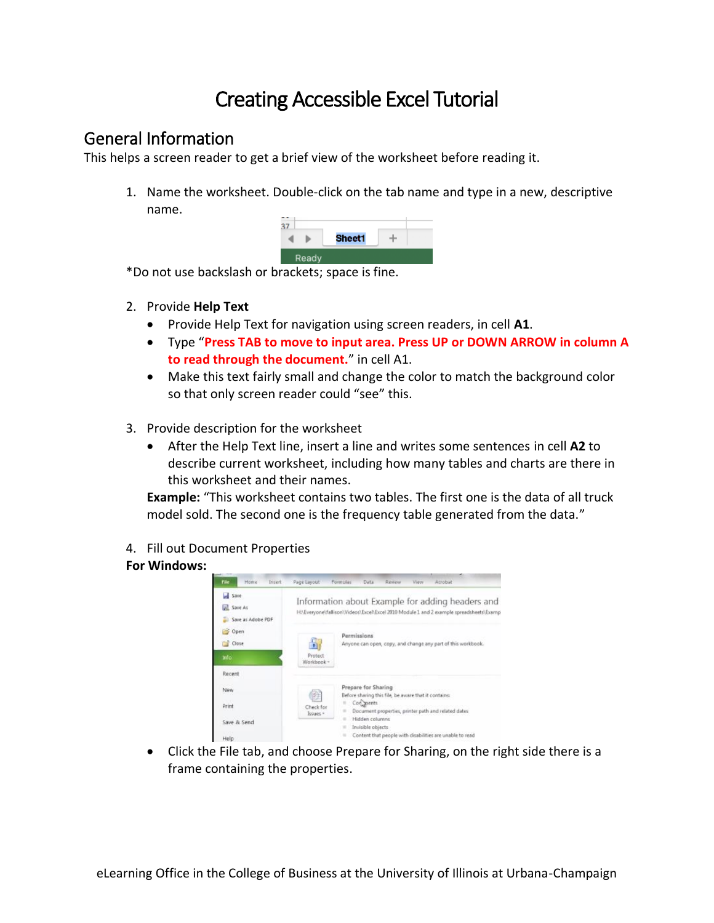# Creating Accessible Excel Tutorial

# General Information

This helps a screen reader to get a brief view of the worksheet before reading it.

1. Name the worksheet. Double-click on the tab name and type in a new, descriptive name.

|       | Sheet1 |  |
|-------|--------|--|
| Ready |        |  |

\*Do not use backslash or brackets; space is fine.

- 2. Provide **Help Text**
	- Provide Help Text for navigation using screen readers, in cell **A1**.
	- Type "**Press TAB to move to input area. Press UP or DOWN ARROW in column A to read through the document.**" in cell A1.
	- Make this text fairly small and change the color to match the background color so that only screen reader could "see" this.
- 3. Provide description for the worksheet
	- After the Help Text line, insert a line and writes some sentences in cell **A2** to describe current worksheet, including how many tables and charts are there in this worksheet and their names.

**Example:** "This worksheet contains two tables. The first one is the data of all truck model sold. The second one is the frequency table generated from the data."

4. Fill out Document Properties

# **For Windows:**

| File<br>Home<br>Insert                          | Page Layout           | Arrobat<br>Rinnew<br>Formulas<br>Data<br>View                                                                                              |
|-------------------------------------------------|-----------------------|--------------------------------------------------------------------------------------------------------------------------------------------|
| <b>Save</b><br>all Save As<br>Save as Adobe PDF |                       | Information about Example for adding headers and<br>H:\Everyone\fallison\Videos\Excel\Excel 2010 Module 1 and 2 example spreadsheets\Examp |
| ×<br>Open<br>Close                              | $\ddot{\phantom{1}}$  | Permissions<br>Anyone can open, copy, and change any part of this workbook.                                                                |
| <b>Info</b>                                     | Protect<br>Workbook - |                                                                                                                                            |
| Recent                                          |                       |                                                                                                                                            |
| New                                             |                       | Prepare for Sharing<br>Before sharing this file, be aware that it contains:                                                                |
| Print                                           | Check for<br>Issues - | Con ments<br>۰<br>Document properties, printer path and related dates<br>$\equiv$                                                          |
| Save & Send                                     |                       | Hidden columns<br>$\sim$<br>Invisible objects                                                                                              |
| Help                                            |                       | Content that people with disabilities are unable to read<br>٠                                                                              |

• Click the File tab, and choose Prepare for Sharing, on the right side there is a frame containing the properties.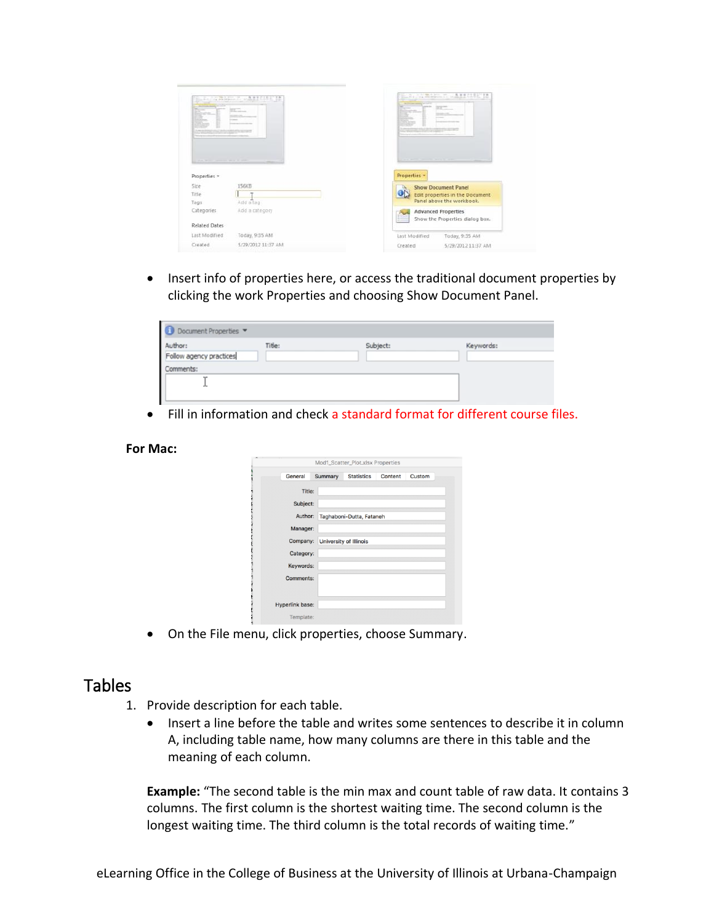| <b>CONTRACTOR</b><br>E                        | E.A. STRANGE CARRIERS<br><b>Contract</b> | <b>APRIL T. APPELLE</b><br>The Rider<br>开工<br><b>Common</b> |
|-----------------------------------------------|------------------------------------------|-------------------------------------------------------------|
| them we have a present the second term of the |                                          | the party through the party of the                          |
| Properties *                                  |                                          | Properties *                                                |
| Size                                          | 156KB                                    | <b>Show Document Panel</b>                                  |
| Titte                                         |                                          | ON<br>Edit properties in the Document                       |
| Tags                                          | Add a tag                                | Panel above the workbook.                                   |
| Categories                                    | Add a category                           | <b>Advanced Properties</b>                                  |
| <b>Related Dates</b>                          |                                          | Show the Properties dialog box.                             |
| Last Modified                                 | Today, 9:35 AM                           | Last Modified<br>Today, 9:35 AM                             |
| Created                                       | 5/29/2012 11:37 AM                       | Created<br>5/29/2012 11:37 AM                               |
|                                               |                                          |                                                             |

• Insert info of properties here, or access the traditional document properties by clicking the work Properties and choosing Show Document Panel.

| Document Properties                |        |          |           |
|------------------------------------|--------|----------|-----------|
| Author:<br>Follow agency practices | Title: | Subject: | Keywords: |
| Comments:<br><b>Thurs</b>          |        |          |           |
|                                    |        |          |           |

• Fill in information and check a standard format for different course files.

#### **For Mac:**

|                 |         | Mod1_Scatter_Plot.xlsx Properties |         |        |
|-----------------|---------|-----------------------------------|---------|--------|
| General         | Summary | <b>Statistics</b>                 | Content | Custom |
| Title:          |         |                                   |         |        |
| Subject:        |         |                                   |         |        |
| Author:         |         | Taghaboni-Dutta, Fataneh          |         |        |
| Manager:        |         |                                   |         |        |
| Company:        |         | University of Illinois            |         |        |
| Category:       |         |                                   |         |        |
| Keywords:       |         |                                   |         |        |
| Comments:       |         |                                   |         |        |
| Hyperlink base: |         |                                   |         |        |
| Template:       |         |                                   |         |        |

• On the File menu, click properties, choose Summary.

# **Tables**

- 1. Provide description for each table.
	- Insert a line before the table and writes some sentences to describe it in column A, including table name, how many columns are there in this table and the meaning of each column.

**Example:** "The second table is the min max and count table of raw data. It contains 3 columns. The first column is the shortest waiting time. The second column is the longest waiting time. The third column is the total records of waiting time."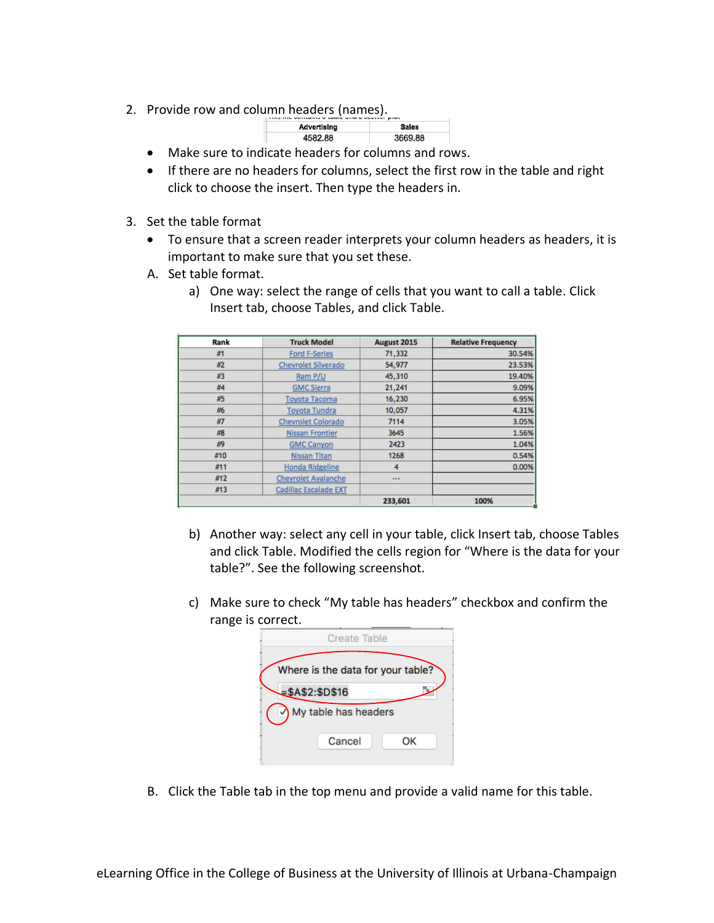2. Provide row and column headers (names).

| THE THE SETTLETING STRAIGHT STRAIG SESSION BINGS |         |  |  |  |
|--------------------------------------------------|---------|--|--|--|
| Advertising                                      | Sales   |  |  |  |
| 4582.88                                          | 3669.88 |  |  |  |

- Make sure to indicate headers for columns and rows.
- If there are no headers for columns, select the first row in the table and right click to choose the insert. Then type the headers in.
- 3. Set the table format
	- To ensure that a screen reader interprets your column headers as headers, it is important to make sure that you set these.
	- A. Set table format.
		- a) One way: select the range of cells that you want to call a table. Click Insert tab, choose Tables, and click Table.

| Rank | <b>Truck Model</b>         | August 2015 | <b>Relative Frequency</b> |
|------|----------------------------|-------------|---------------------------|
| #1   | <b>Ford F-Series</b>       | 71,332      | 30.54%                    |
| #2   | Chevrolet Silverado        | 54,977      | 23.53%                    |
| #3   | Ram P/U                    | 45,310      | 19.40%                    |
| #4   | <b>GMC Sierra</b>          | 21,241      | 9.09%                     |
| #5   | <b>Toyota Tacoma</b>       | 16,230      | 6.95%                     |
| #6   | <b>Toyota Tundra</b>       | 10,057      | 4.31%                     |
| #7   | Chevrolet Colorado         | 7114        | 3.05%                     |
| #8   | Nissan Frontier            | 3645        | 1.56%                     |
| #9   | <b>GMC Canyon</b>          | 2423        | 1.04%                     |
| #10  | <b>Nissan Titan</b>        | 1268        | 0.54%                     |
| #11  | Honda Ridgeline            | 4           | 0.00%                     |
| #12  | <b>Chevrolet Avalanche</b> |             |                           |
| #13  | Cadillac Escalade EXT      |             |                           |
|      |                            | 233,601     | 100%                      |

- b) Another way: select any cell in your table, click Insert tab, choose Tables and click Table. Modified the cells region for "Where is the data for your table?". See the following screenshot.
- c) Make sure to check "My table has headers" checkbox and confirm the range is correct.

|                | Create Table                      |    |
|----------------|-----------------------------------|----|
|                | Where is the data for your table? |    |
| $= $A$2:$D$16$ |                                   |    |
|                | My table has headers              |    |
|                | Cancel                            | ок |

B. Click the Table tab in the top menu and provide a valid name for this table.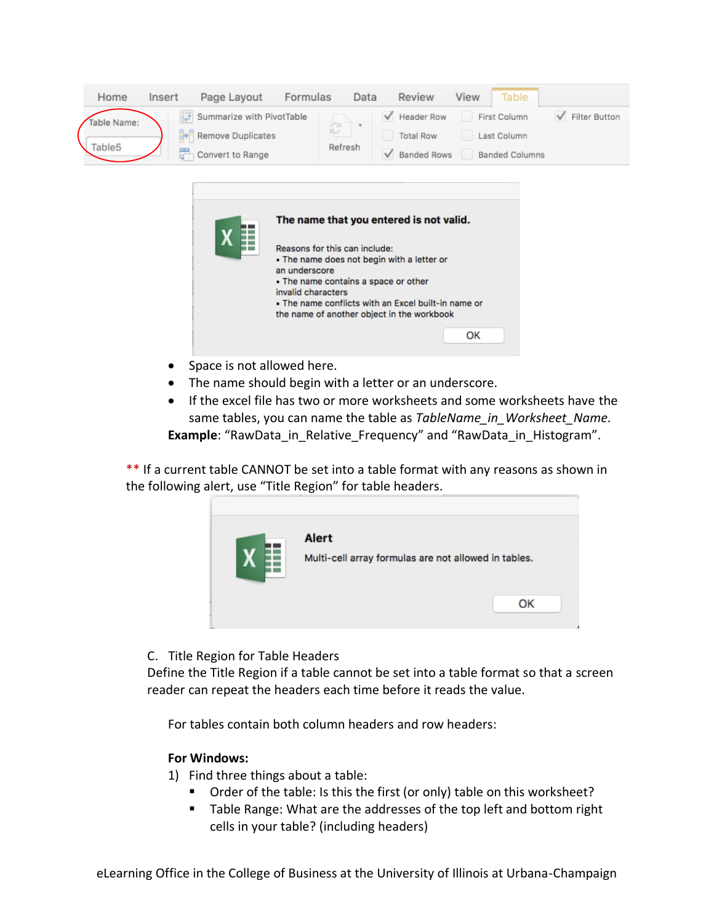| Home               | Insert         | Page Layout                                                             | Formulas |            | Data | Review             | View | Table                 |               |
|--------------------|----------------|-------------------------------------------------------------------------|----------|------------|------|--------------------|------|-----------------------|---------------|
| fable Name:        |                | $\left\Vert \overline{\mathbf{J}}\right\Vert$ Summarize with PivotTable |          | <b>COL</b> | $-$  | Header Row         |      | First Column          | Filter Button |
|                    |                | Remove Duplicates                                                       |          | 叫          |      | <b>Total Row</b>   |      | Last Column           |               |
| Table <sub>5</sub> | $\overline{u}$ | Convert to Range                                                        |          | Refresh    |      | <b>Banded Rows</b> |      | <b>Banded Columns</b> |               |

| The name that you entered is not valid.                                                                                                                                                                                                                         |
|-----------------------------------------------------------------------------------------------------------------------------------------------------------------------------------------------------------------------------------------------------------------|
| Reasons for this can include:<br>. The name does not begin with a letter or<br>an underscore<br>• The name contains a space or other<br>invalid characters<br>. The name conflicts with an Excel built-in name or<br>the name of another object in the workbook |
| ΩK                                                                                                                                                                                                                                                              |

- Space is not allowed here.
- The name should begin with a letter or an underscore.
- If the excel file has two or more worksheets and some worksheets have the same tables, you can name the table as *TableName in Worksheet Name.* **Example:** "RawData in Relative Frequency" and "RawData in Histogram".

\*\* If a current table CANNOT be set into a table format with any reasons as shown in the following alert, use "Title Region" for table headers.



# C. Title Region for Table Headers

Define the Title Region if a table cannot be set into a table format so that a screen reader can repeat the headers each time before it reads the value.

For tables contain both column headers and row headers:

# **For Windows:**

- 1) Find three things about a table:
	- Order of the table: Is this the first (or only) table on this worksheet?
	- Table Range: What are the addresses of the top left and bottom right cells in your table? (including headers)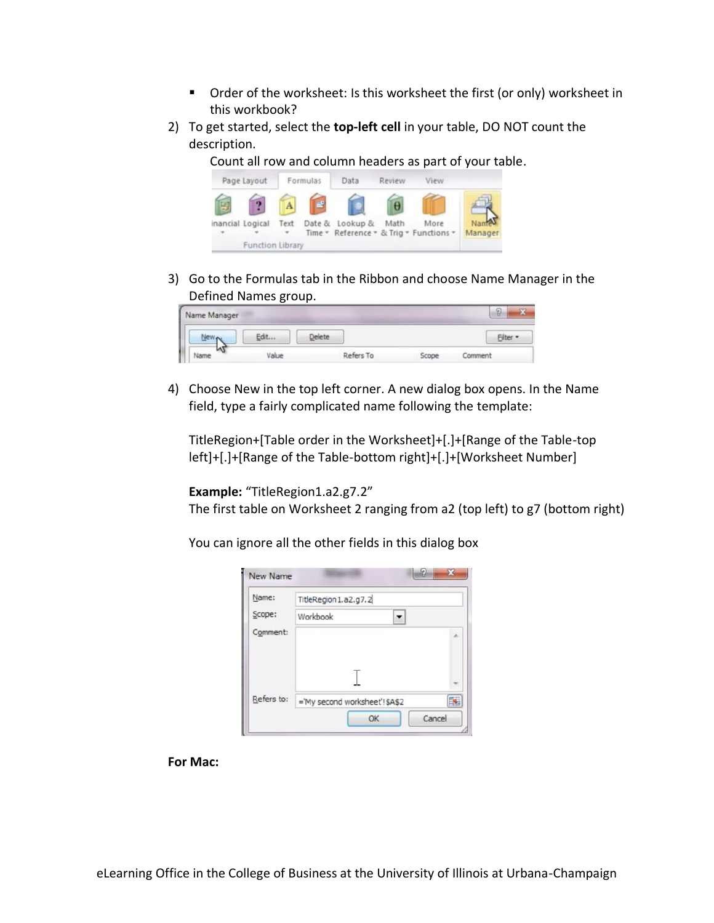- Order of the worksheet: Is this worksheet the first (or only) worksheet in this workbook?
- 2) To get started, select the **top-left cell** in your table, DO NOT count the description.

Count all row and column headers as part of your table.



3) Go to the Formulas tab in the Ribbon and choose Name Manager in the Defined Names group.

| Name Manager |       |               |           |       | $\mathcal{D}$ |
|--------------|-------|---------------|-----------|-------|---------------|
|              | Fdit  | <b>Delete</b> |           |       |               |
|              | Value |               | Refers To | Scope | Comment       |

4) Choose New in the top left corner. A new dialog box opens. In the Name field, type a fairly complicated name following the template:

TitleRegion+[Table order in the Worksheet]+[.]+[Range of the Table-top left]+[.]+[Range of the Table-bottom right]+[.]+[Worksheet Number]

**Example:** "TitleRegion1.a2.g7.2"

The first table on Worksheet 2 ranging from a2 (top left) to g7 (bottom right)

You can ignore all the other fields in this dialog box

| Name:      | TitleRegion1.a2.g7.2          |   |
|------------|-------------------------------|---|
| Scope:     | Workbook                      |   |
| Comment:   |                               | × |
|            |                               |   |
| Refers to: | ='My second worksheet'!\$A\$2 |   |

**For Mac:**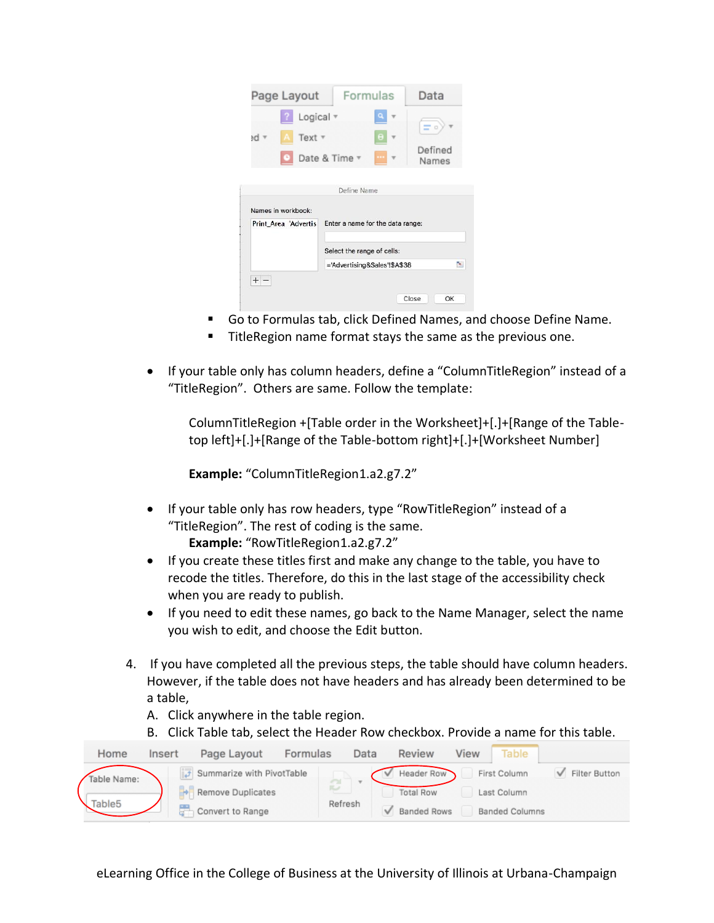| Page Layout                                | Formulas                                                   | Data                  |
|--------------------------------------------|------------------------------------------------------------|-----------------------|
| Logical v<br>Text $7$<br>ed ≖              | θ<br>Date & Time v                                         | Ξ<br>Defined<br>Names |
| Names in workbook:<br>Print Area 'Advertis | Define Name<br>Enter a name for the data range:            |                       |
|                                            | Select the range of cells:<br>='Advertising&Sales'!\$A\$38 | ×.                    |
| $+$                                        |                                                            | Close<br>OK           |

- Go to Formulas tab, click Defined Names, and choose Define Name.
- TitleRegion name format stays the same as the previous one.
- If your table only has column headers, define a "ColumnTitleRegion" instead of a "TitleRegion". Others are same. Follow the template:

ColumnTitleRegion +[Table order in the Worksheet]+[.]+[Range of the Tabletop left]+[.]+[Range of the Table-bottom right]+[.]+[Worksheet Number]

**Example:** "ColumnTitleRegion1.a2.g7.2"

• If your table only has row headers, type "RowTitleRegion" instead of a "TitleRegion". The rest of coding is the same. **Example:** "RowTitleRegion1.a2.g7.2"

• If you create these titles first and make any change to the table, you have to recode the titles. Therefore, do this in the last stage of the accessibility check when you are ready to publish.

- If you need to edit these names, go back to the Name Manager, select the name you wish to edit, and choose the Edit button.
- 4. If you have completed all the previous steps, the table should have column headers. However, if the table does not have headers and has already been determined to be a table,
	- A. Click anywhere in the table region.
	- B. Click Table tab, select the Header Row checkbox. Provide a name for this table.

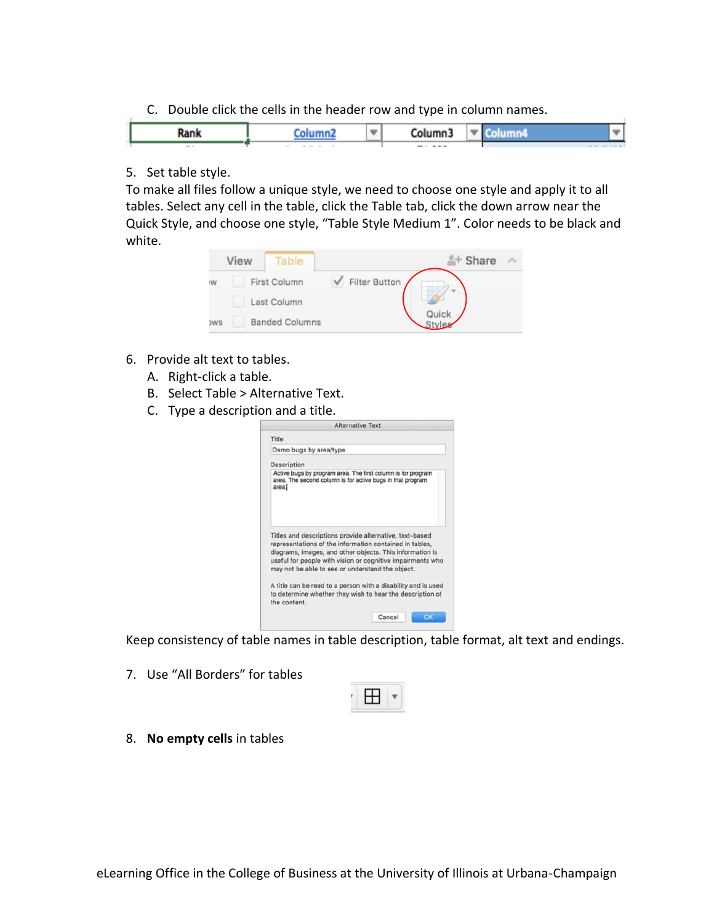C. Double click the cells in the header row and type in column names.

|          |                   | -     | ш        |  |
|----------|-------------------|-------|----------|--|
| $\cdots$ | .<br><b>STATE</b> | ----- | -------- |  |

# 5. Set table style.

To make all files follow a unique style, we need to choose one style and apply it to all tables. Select any cell in the table, click the Table tab, click the down arrow near the Quick Style, and choose one style, "Table Style Medium 1". Color needs to be black and white.



- 6. Provide alt text to tables.
	- A. Right-click a table.
	- B. Select Table > Alternative Text.
	- C. Type a description and a title.

|                                                                                                                                                                                | Alternative Text                                                                                                                                                                         |
|--------------------------------------------------------------------------------------------------------------------------------------------------------------------------------|------------------------------------------------------------------------------------------------------------------------------------------------------------------------------------------|
| Title                                                                                                                                                                          |                                                                                                                                                                                          |
| Demo bugs by area/type                                                                                                                                                         |                                                                                                                                                                                          |
| Description                                                                                                                                                                    |                                                                                                                                                                                          |
| Active bugs by program area. The first column is for program<br>area. The second column is for active bugs in that program<br>areal                                            |                                                                                                                                                                                          |
| Titles and descriptions provide alternative, text-based<br>representations of the information contained in tables,<br>diagrams, images, and other objects. This information is |                                                                                                                                                                                          |
| may not be able to see or understand the object.<br>the content.                                                                                                               | useful for people with vision or cognitive impairments who<br>A title can be read to a person with a disability and is used<br>to determine whether they wish to hear the description of |

Keep consistency of table names in table description, table format, alt text and endings.

7. Use "All Borders" for tables



8. **No empty cells** in tables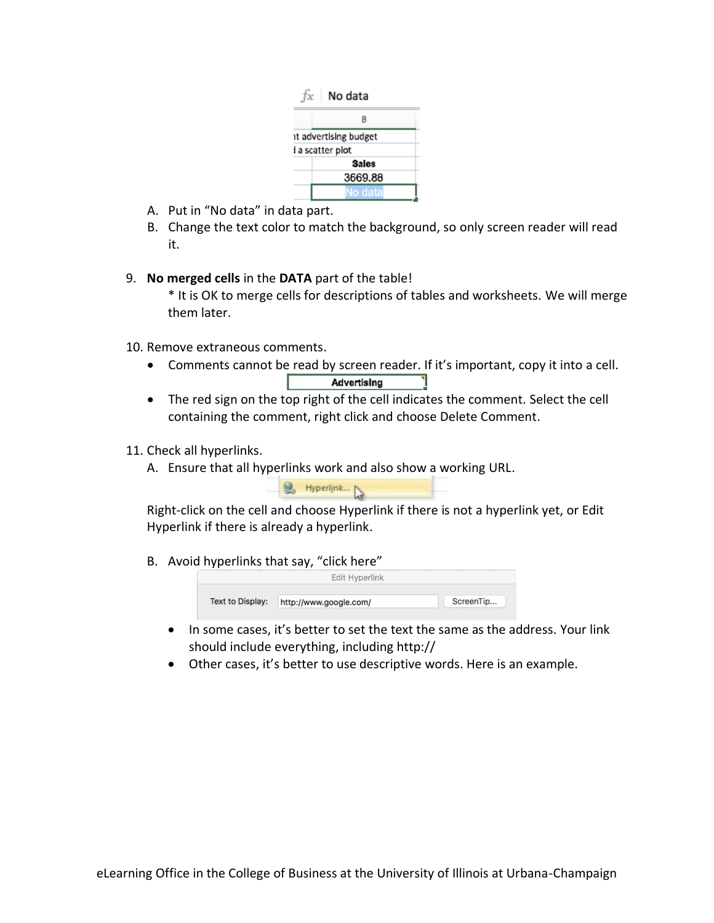| No data               |  |  |  |  |
|-----------------------|--|--|--|--|
| R                     |  |  |  |  |
| it advertising budget |  |  |  |  |
| l a scatter plot      |  |  |  |  |
| <b>Sales</b>          |  |  |  |  |
| 3669.88               |  |  |  |  |
| lo data               |  |  |  |  |

- A. Put in "No data" in data part.
- B. Change the text color to match the background, so only screen reader will read it.
- 9. **No merged cells** in the **DATA** part of the table!
	- \* It is OK to merge cells for descriptions of tables and worksheets. We will merge them later.
- 10. Remove extraneous comments.
	- Comments cannot be read by screen reader. If it's important, copy it into a cell. Advertising L.
	- The red sign on the top right of the cell indicates the comment. Select the cell containing the comment, right click and choose Delete Comment.
- 11. Check all hyperlinks.
	- A. Ensure that all hyperlinks work and also show a working URL.



Right-click on the cell and choose Hyperlink if there is not a hyperlink yet, or Edit Hyperlink if there is already a hyperlink.

B. Avoid hyperlinks that say, "click here"



- In some cases, it's better to set the text the same as the address. Your link should include everything, including http://
- Other cases, it's better to use descriptive words. Here is an example.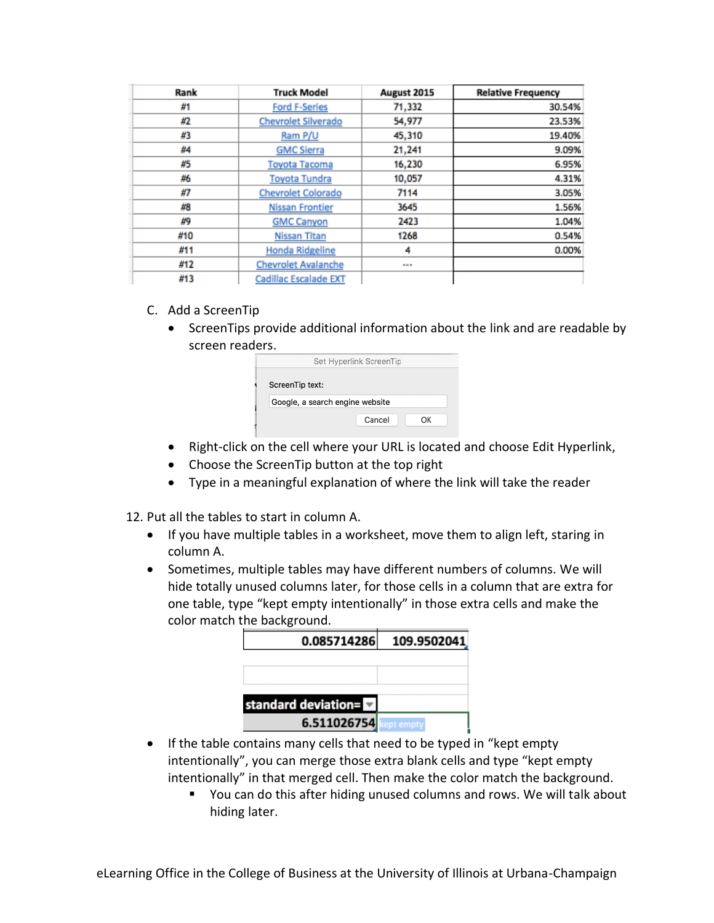| Rank | <b>Truck Model</b>         | August 2015 | <b>Relative Frequency</b> |
|------|----------------------------|-------------|---------------------------|
| #1   | <b>Ford F-Series</b>       | 71,332      | 30.54%                    |
| #2   | Chevrolet Silverado        | 54,977      | 23.53%                    |
| #3   | Ram P/U                    | 45,310      | 19.40%                    |
| #4   | <b>GMC Sierra</b>          | 21,241      | 9.09%                     |
| #5   | <b>Toyota Tacoma</b>       | 16,230      | 6.95%                     |
| #6   | Toyota Tundra              | 10,057      | 4.31%                     |
| #7   | Chevrolet Colorado         | 7114        | 3.05%                     |
| #8   | <b>Nissan Frontier</b>     | 3645        | 1.56%                     |
| #9   | <b>GMC Canyon</b>          | 2423        | 1.04%                     |
| #10  | Nissan Titan               | 1268        | 0.54%                     |
| #11  | <b>Honda Ridgeline</b>     | 4           | 0.00%                     |
| #12  | <b>Chevrolet Avalanche</b> |             |                           |
| #13  | Cadillac Escalade EXT      |             |                           |

- C. Add a ScreenTip
	- ScreenTips provide additional information about the link and are readable by screen readers.

|                                 | Set Hyperlink ScreenTip |    |
|---------------------------------|-------------------------|----|
| ScreenTip text:                 |                         |    |
| Google, a search engine website |                         |    |
|                                 | Cancel                  | OK |

- Right-click on the cell where your URL is located and choose Edit Hyperlink,
- Choose the ScreenTip button at the top right
- Type in a meaningful explanation of where the link will take the reader
- 12. Put all the tables to start in column A.
	- If you have multiple tables in a worksheet, move them to align left, staring in column A.
	- Sometimes, multiple tables may have different numbers of columns. We will hide totally unused columns later, for those cells in a column that are extra for one table, type "kept empty intentionally" in those extra cells and make the color match the background.

| 0.085714286         | 109.9502041 |
|---------------------|-------------|
|                     |             |
|                     |             |
| standard deviation= |             |
| 6.511026754         | ot empty    |

- If the table contains many cells that need to be typed in "kept empty intentionally", you can merge those extra blank cells and type "kept empty intentionally" in that merged cell. Then make the color match the background.
	- You can do this after hiding unused columns and rows. We will talk about hiding later.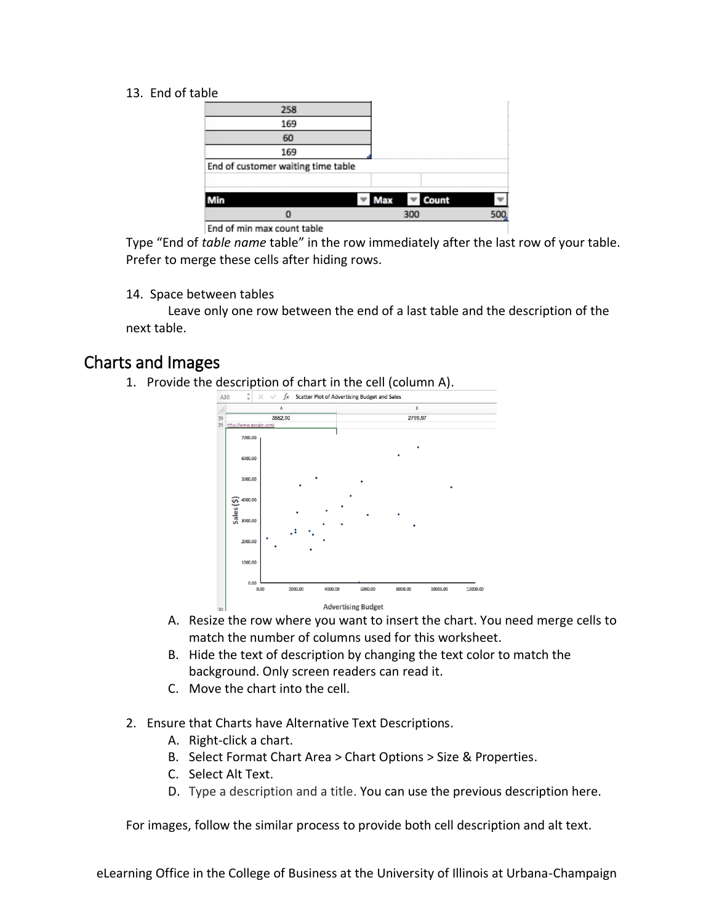# 13. End of table

|     | 258                                |     |       |  |
|-----|------------------------------------|-----|-------|--|
|     | 169                                |     |       |  |
|     | 60                                 |     |       |  |
|     | 169                                |     |       |  |
|     | End of customer waiting time table |     |       |  |
|     |                                    |     |       |  |
| Min |                                    | Max | Count |  |
|     |                                    |     | 300   |  |

End of min max count table

Type "End of *table name* table" in the row immediately after the last row of your table. Prefer to merge these cells after hiding rows.

#### 14. Space between tables

Leave only one row between the end of a last table and the description of the next table.

# Charts and Images

1. Provide the description of chart in the cell (column A).



- A. Resize the row where you want to insert the chart. You need merge cells to match the number of columns used for this worksheet.
- B. Hide the text of description by changing the text color to match the background. Only screen readers can read it.
- C. Move the chart into the cell.
- 2. Ensure that Charts have Alternative Text Descriptions.
	- A. Right-click a chart.
	- B. Select Format Chart Area > Chart Options > Size & Properties.
	- C. Select Alt Text.
	- D. Type a description and a title. You can use the previous description here.

For images, follow the similar process to provide both cell description and alt text.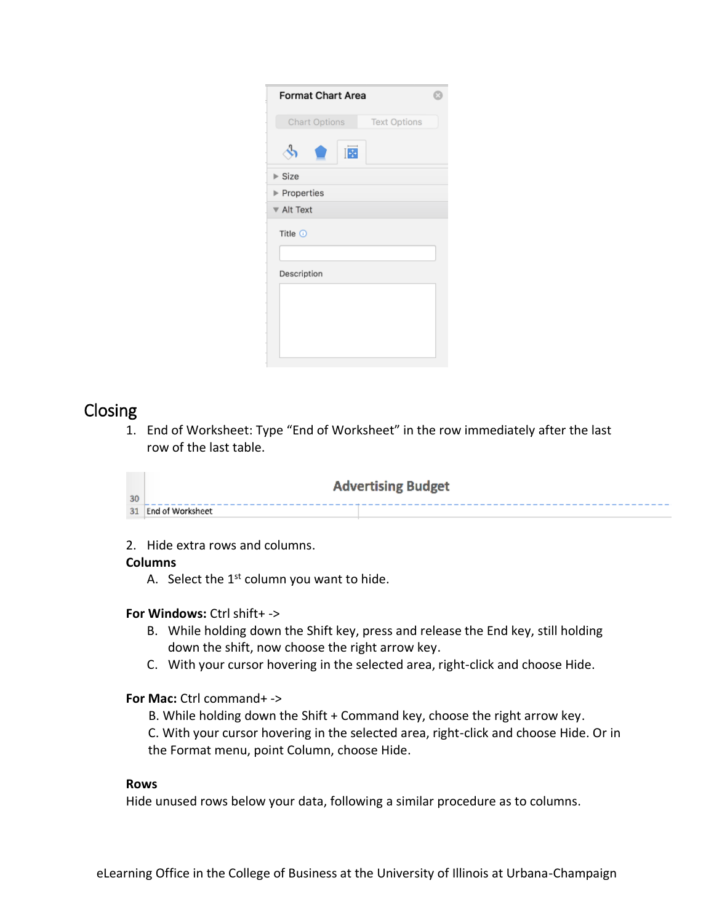| <b>Format Chart Area</b> |                     |  |
|--------------------------|---------------------|--|
| Chart Options            | <b>Text Options</b> |  |
| I.                       |                     |  |
| $\triangleright$ Size    |                     |  |
| Properties               |                     |  |
| ▼ Alt Text               |                     |  |
| Title $①$                |                     |  |
| Description              |                     |  |
|                          |                     |  |

# Closing

1. End of Worksheet: Type "End of Worksheet" in the row immediately after the last row of the last table.

| <b>Advertising Budget</b><br>30 |                     |  |
|---------------------------------|---------------------|--|
|                                 | 31 End of Worksheet |  |

2. Hide extra rows and columns.

# **Columns**

A. Select the  $1<sup>st</sup>$  column you want to hide.

# **For Windows:** Ctrl shift+ ->

- B. While holding down the Shift key, press and release the End key, still holding down the shift, now choose the right arrow key.
- C. With your cursor hovering in the selected area, right-click and choose Hide.

# **For Mac:** Ctrl command+ ->

B. While holding down the Shift + Command key, choose the right arrow key.

C. With your cursor hovering in the selected area, right-click and choose Hide. Or in the Format menu, point Column, choose Hide.

# **Rows**

Hide unused rows below your data, following a similar procedure as to columns.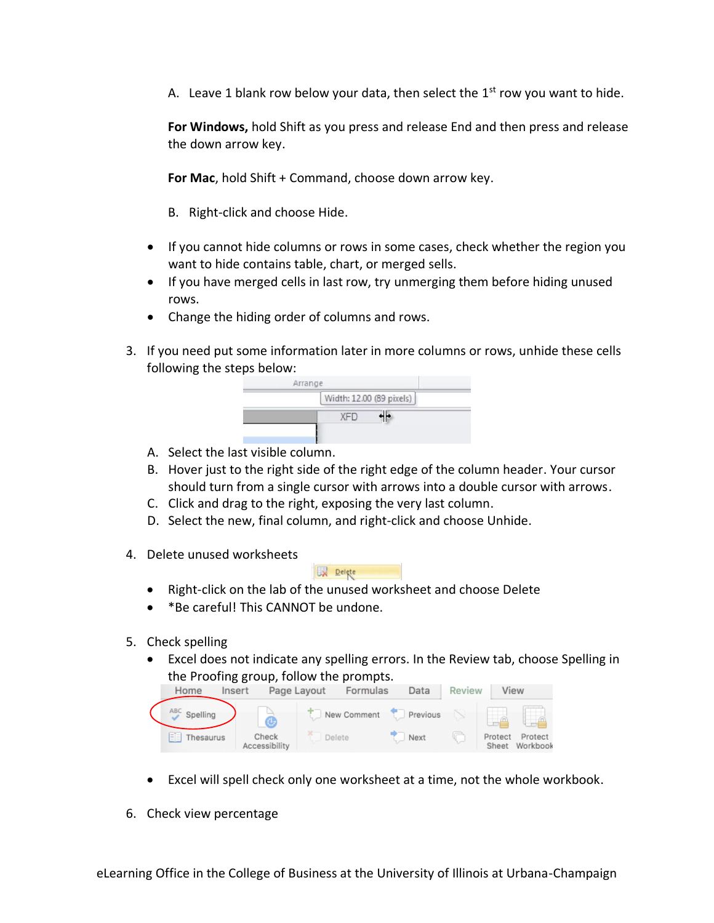A. Leave 1 blank row below your data, then select the  $1<sup>st</sup>$  row you want to hide.

**For Windows,** hold Shift as you press and release End and then press and release the down arrow key.

**For Mac**, hold Shift + Command, choose down arrow key.

B. Right-click and choose Hide.

- If you cannot hide columns or rows in some cases, check whether the region you want to hide contains table, chart, or merged sells.
- If you have merged cells in last row, try unmerging them before hiding unused rows.
- Change the hiding order of columns and rows.
- 3. If you need put some information later in more columns or rows, unhide these cells following the steps below:

|            | Width: 12.00 (89 pixels) |
|------------|--------------------------|
| <b>XFD</b> |                          |

- A. Select the last visible column.
- B. Hover just to the right side of the right edge of the column header. Your cursor should turn from a single cursor with arrows into a double cursor with arrows.
- C. Click and drag to the right, exposing the very last column.
- D. Select the new, final column, and right-click and choose Unhide.
- 4. Delete unused worksheets

- Right-click on the lab of the unused worksheet and choose Delete
- \*Be careful! This CANNOT be undone.
- 5. Check spelling
	- Excel does not indicate any spelling errors. In the Review tab, choose Spelling in



- Excel will spell check only one worksheet at a time, not the whole workbook.
- 6. Check view percentage